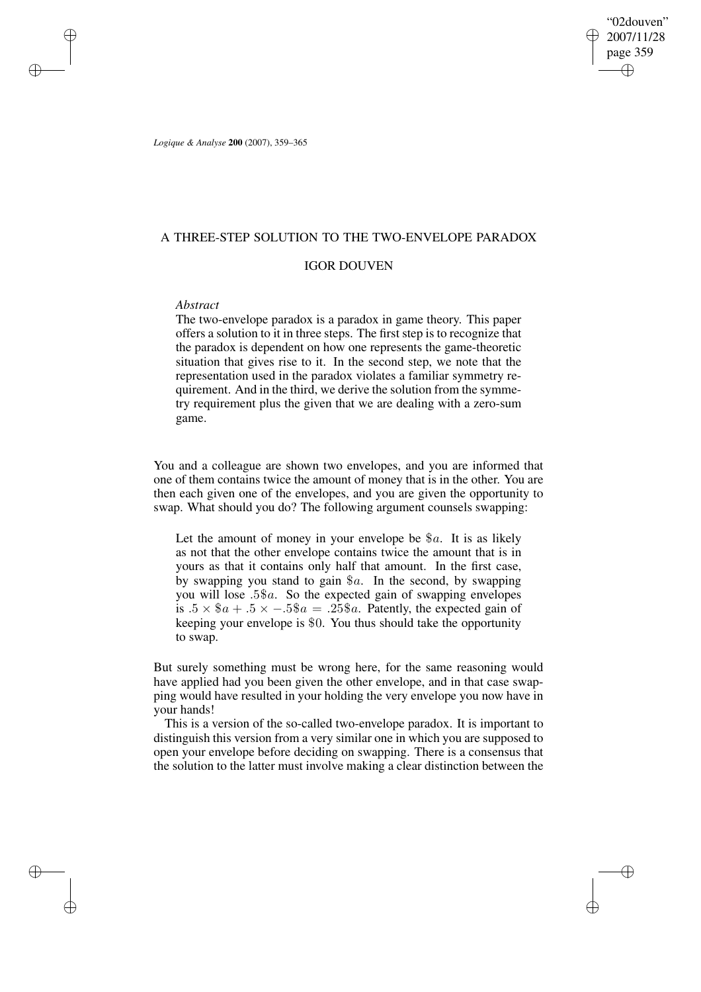"02douven" 2007/11/28 page 359 ✐ ✐

✐

✐

*Logique & Analyse* **200** (2007), 359–365

# A THREE-STEP SOLUTION TO THE TWO-ENVELOPE PARADOX

# IGOR DOUVEN

### *Abstract*

✐

✐

✐

✐

The two-envelope paradox is a paradox in game theory. This paper offers a solution to it in three steps. The first step is to recognize that the paradox is dependent on how one represents the game-theoretic situation that gives rise to it. In the second step, we note that the representation used in the paradox violates a familiar symmetry requirement. And in the third, we derive the solution from the symmetry requirement plus the given that we are dealing with a zero-sum game.

You and a colleague are shown two envelopes, and you are informed that one of them contains twice the amount of money that is in the other. You are then each given one of the envelopes, and you are given the opportunity to swap. What should you do? The following argument counsels swapping:

Let the amount of money in your envelope be  $a$ . It is as likely as not that the other envelope contains twice the amount that is in yours as that it contains only half that amount. In the first case, by swapping you stand to gain  $a$ . In the second, by swapping you will lose  $.5\$ a. So the expected gain of swapping envelopes is  $.5 \times$  \$a +  $.5 \times -0.5$ \$a = .25\$a. Patently, the expected gain of keeping your envelope is \$0. You thus should take the opportunity to swap.

But surely something must be wrong here, for the same reasoning would have applied had you been given the other envelope, and in that case swapping would have resulted in your holding the very envelope you now have in your hands!

This is a version of the so-called two-envelope paradox. It is important to distinguish this version from a very similar one in which you are supposed to open your envelope before deciding on swapping. There is a consensus that the solution to the latter must involve making a clear distinction between the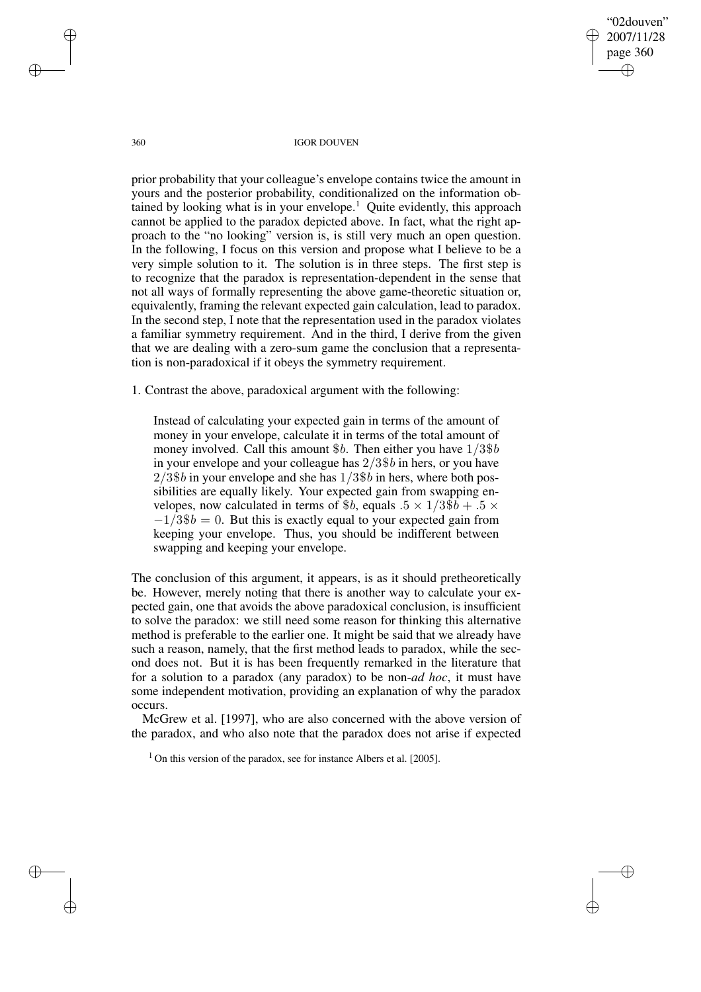"02douven" 2007/11/28 page 360 ✐ ✐

✐

✐

360 IGOR DOUVEN

prior probability that your colleague's envelope contains twice the amount in yours and the posterior probability, conditionalized on the information obtained by looking what is in your envelope.<sup>1</sup> Quite evidently, this approach cannot be applied to the paradox depicted above. In fact, what the right approach to the "no looking" version is, is still very much an open question. In the following, I focus on this version and propose what I believe to be a very simple solution to it. The solution is in three steps. The first step is to recognize that the paradox is representation-dependent in the sense that not all ways of formally representing the above game-theoretic situation or, equivalently, framing the relevant expected gain calculation, lead to paradox. In the second step, I note that the representation used in the paradox violates a familiar symmetry requirement. And in the third, I derive from the given that we are dealing with a zero-sum game the conclusion that a representation is non-paradoxical if it obeys the symmetry requirement.

1. Contrast the above, paradoxical argument with the following:

Instead of calculating your expected gain in terms of the amount of money in your envelope, calculate it in terms of the total amount of money involved. Call this amount  $$b$ . Then either you have  $1/3\$b$ in your envelope and your colleague has 2/3\$b in hers, or you have  $2/3$ \$b in your envelope and she has  $1/3$ \$b in hers, where both possibilities are equally likely. Your expected gain from swapping envelopes, now calculated in terms of \$b, equals  $.5 \times 1/3\$ b +  $.5 \times$  $-1/3$ \$b = 0. But this is exactly equal to your expected gain from keeping your envelope. Thus, you should be indifferent between swapping and keeping your envelope.

The conclusion of this argument, it appears, is as it should pretheoretically be. However, merely noting that there is another way to calculate your expected gain, one that avoids the above paradoxical conclusion, is insufficient to solve the paradox: we still need some reason for thinking this alternative method is preferable to the earlier one. It might be said that we already have such a reason, namely, that the first method leads to paradox, while the second does not. But it is has been frequently remarked in the literature that for a solution to a paradox (any paradox) to be non-*ad hoc*, it must have some independent motivation, providing an explanation of why the paradox occurs.

McGrew et al. [1997], who are also concerned with the above version of the paradox, and who also note that the paradox does not arise if expected

 $1$  On this version of the paradox, see for instance Albers et al. [2005].

✐

✐

✐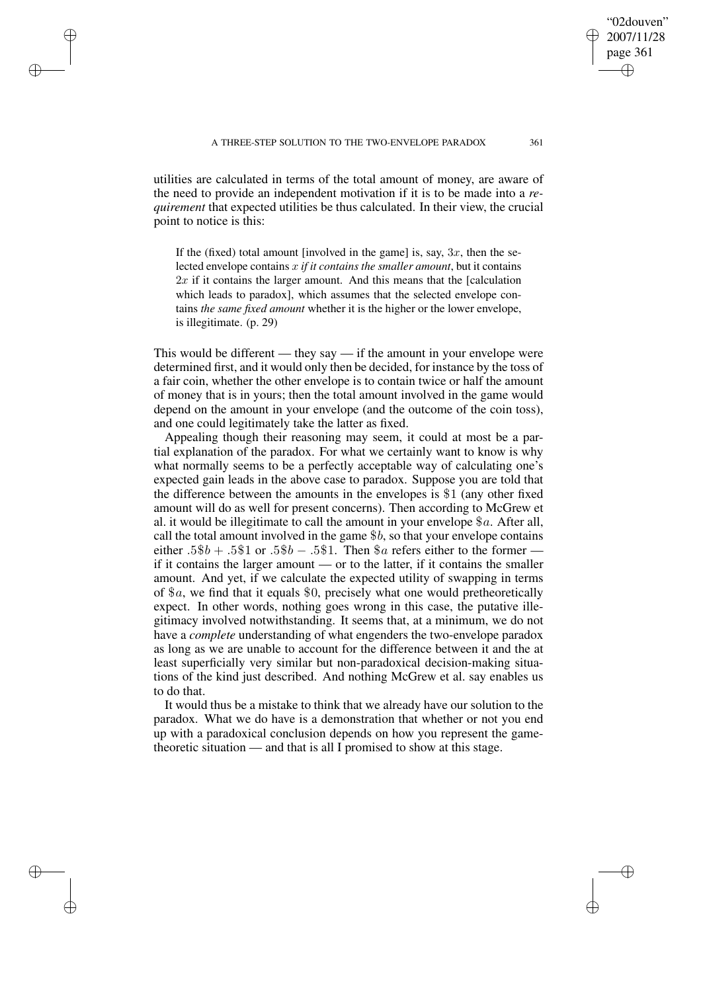✐

✐

✐

✐

utilities are calculated in terms of the total amount of money, are aware of the need to provide an independent motivation if it is to be made into a *requirement* that expected utilities be thus calculated. In their view, the crucial point to notice is this:

If the (fixed) total amount [involved in the game] is, say,  $3x$ , then the selected envelope contains x *if it contains the smaller amount*, but it contains  $2x$  if it contains the larger amount. And this means that the [calculation which leads to paradox], which assumes that the selected envelope contains *the same fixed amount* whether it is the higher or the lower envelope, is illegitimate. (p. 29)

This would be different — they say — if the amount in your envelope were determined first, and it would only then be decided, for instance by the toss of a fair coin, whether the other envelope is to contain twice or half the amount of money that is in yours; then the total amount involved in the game would depend on the amount in your envelope (and the outcome of the coin toss), and one could legitimately take the latter as fixed.

Appealing though their reasoning may seem, it could at most be a partial explanation of the paradox. For what we certainly want to know is why what normally seems to be a perfectly acceptable way of calculating one's expected gain leads in the above case to paradox. Suppose you are told that the difference between the amounts in the envelopes is \$1 (any other fixed amount will do as well for present concerns). Then according to McGrew et al. it would be illegitimate to call the amount in your envelope  $a$ . After all, call the total amount involved in the game  $$b$ , so that your envelope contains either  $.5\$ b +  $.5\$ 1 or  $.5\$ b –  $.5\$ 1. Then  $\$a$  refers either to the former if it contains the larger amount — or to the latter, if it contains the smaller amount. And yet, if we calculate the expected utility of swapping in terms of \$a, we find that it equals \$0, precisely what one would pretheoretically expect. In other words, nothing goes wrong in this case, the putative illegitimacy involved notwithstanding. It seems that, at a minimum, we do not have a *complete* understanding of what engenders the two-envelope paradox as long as we are unable to account for the difference between it and the at least superficially very similar but non-paradoxical decision-making situations of the kind just described. And nothing McGrew et al. say enables us to do that.

It would thus be a mistake to think that we already have our solution to the paradox. What we do have is a demonstration that whether or not you end up with a paradoxical conclusion depends on how you represent the gametheoretic situation — and that is all I promised to show at this stage.

"02douven" 2007/11/28 page 361

✐

✐

✐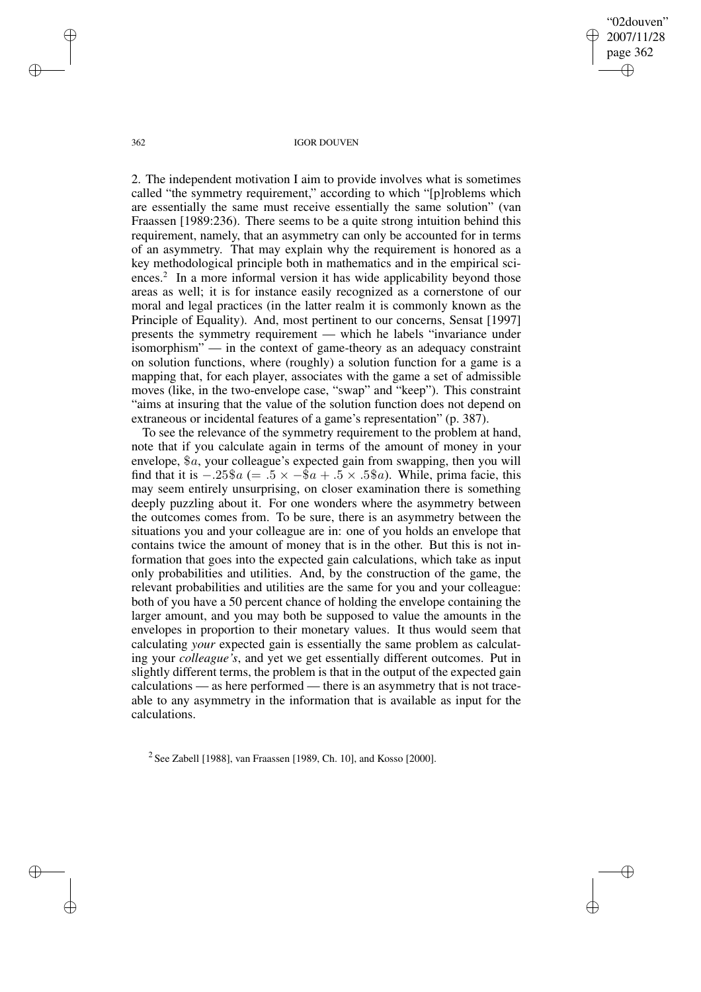"02douven" 2007/11/28 page 362 ✐ ✐

✐

✐

#### 362 IGOR DOUVEN

2. The independent motivation I aim to provide involves what is sometimes called "the symmetry requirement," according to which "[p]roblems which are essentially the same must receive essentially the same solution" (van Fraassen [1989:236). There seems to be a quite strong intuition behind this requirement, namely, that an asymmetry can only be accounted for in terms of an asymmetry. That may explain why the requirement is honored as a key methodological principle both in mathematics and in the empirical sciences.<sup>2</sup> In a more informal version it has wide applicability beyond those areas as well; it is for instance easily recognized as a cornerstone of our moral and legal practices (in the latter realm it is commonly known as the Principle of Equality). And, most pertinent to our concerns, Sensat [1997] presents the symmetry requirement — which he labels "invariance under isomorphism" — in the context of game-theory as an adequacy constraint on solution functions, where (roughly) a solution function for a game is a mapping that, for each player, associates with the game a set of admissible moves (like, in the two-envelope case, "swap" and "keep"). This constraint "aims at insuring that the value of the solution function does not depend on extraneous or incidental features of a game's representation" (p. 387).

To see the relevance of the symmetry requirement to the problem at hand, note that if you calculate again in terms of the amount of money in your envelope, \$a, your colleague's expected gain from swapping, then you will find that it is  $-.25\$ a (= .5  $\times$  -\$a + .5  $\times$  .5\$a). While, prima facie, this may seem entirely unsurprising, on closer examination there is something deeply puzzling about it. For one wonders where the asymmetry between the outcomes comes from. To be sure, there is an asymmetry between the situations you and your colleague are in: one of you holds an envelope that contains twice the amount of money that is in the other. But this is not information that goes into the expected gain calculations, which take as input only probabilities and utilities. And, by the construction of the game, the relevant probabilities and utilities are the same for you and your colleague: both of you have a 50 percent chance of holding the envelope containing the larger amount, and you may both be supposed to value the amounts in the envelopes in proportion to their monetary values. It thus would seem that calculating *your* expected gain is essentially the same problem as calculating your *colleague's*, and yet we get essentially different outcomes. Put in slightly different terms, the problem is that in the output of the expected gain calculations — as here performed — there is an asymmetry that is not traceable to any asymmetry in the information that is available as input for the calculations.

<sup>2</sup> See Zabell [1988], van Fraassen [1989, Ch. 10], and Kosso [2000].

✐

✐

✐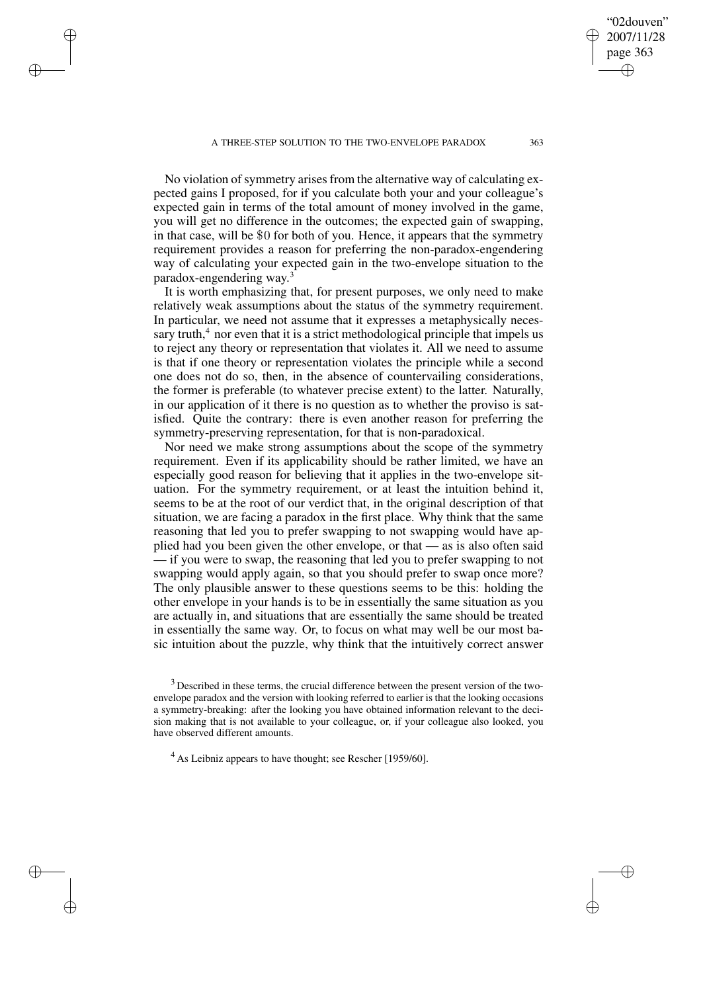✐

✐

✐

✐

No violation of symmetry arises from the alternative way of calculating expected gains I proposed, for if you calculate both your and your colleague's expected gain in terms of the total amount of money involved in the game, you will get no difference in the outcomes; the expected gain of swapping, in that case, will be \$0 for both of you. Hence, it appears that the symmetry requirement provides a reason for preferring the non-paradox-engendering way of calculating your expected gain in the two-envelope situation to the paradox-engendering way. 3

It is worth emphasizing that, for present purposes, we only need to make relatively weak assumptions about the status of the symmetry requirement. In particular, we need not assume that it expresses a metaphysically necessary truth, $4$  nor even that it is a strict methodological principle that impels us to reject any theory or representation that violates it. All we need to assume is that if one theory or representation violates the principle while a second one does not do so, then, in the absence of countervailing considerations, the former is preferable (to whatever precise extent) to the latter. Naturally, in our application of it there is no question as to whether the proviso is satisfied. Quite the contrary: there is even another reason for preferring the symmetry-preserving representation, for that is non-paradoxical.

Nor need we make strong assumptions about the scope of the symmetry requirement. Even if its applicability should be rather limited, we have an especially good reason for believing that it applies in the two-envelope situation. For the symmetry requirement, or at least the intuition behind it, seems to be at the root of our verdict that, in the original description of that situation, we are facing a paradox in the first place. Why think that the same reasoning that led you to prefer swapping to not swapping would have applied had you been given the other envelope, or that — as is also often said — if you were to swap, the reasoning that led you to prefer swapping to not swapping would apply again, so that you should prefer to swap once more? The only plausible answer to these questions seems to be this: holding the other envelope in your hands is to be in essentially the same situation as you are actually in, and situations that are essentially the same should be treated in essentially the same way. Or, to focus on what may well be our most basic intuition about the puzzle, why think that the intuitively correct answer

"02douven" 2007/11/28 page 363

✐

✐

✐

 $3$  Described in these terms, the crucial difference between the present version of the twoenvelope paradox and the version with looking referred to earlier is that the looking occasions a symmetry-breaking: after the looking you have obtained information relevant to the decision making that is not available to your colleague, or, if your colleague also looked, you have observed different amounts.

<sup>&</sup>lt;sup>4</sup> As Leibniz appears to have thought; see Rescher [1959/60].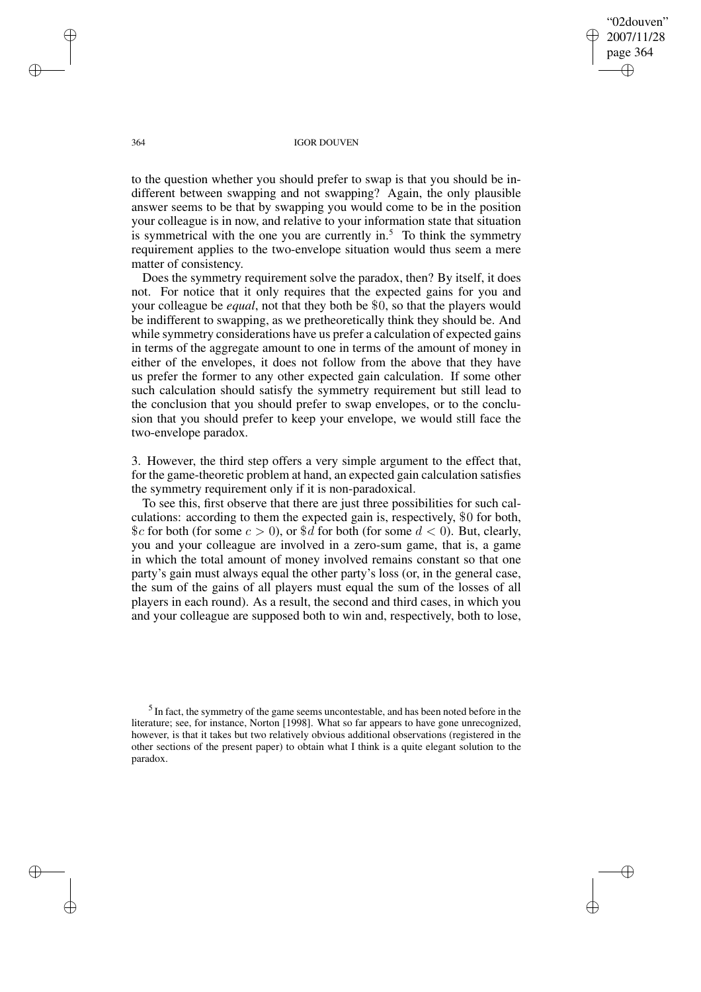"02douven" 2007/11/28 page 364 ✐ ✐

✐

✐

#### 364 IGOR DOUVEN

to the question whether you should prefer to swap is that you should be indifferent between swapping and not swapping? Again, the only plausible answer seems to be that by swapping you would come to be in the position your colleague is in now, and relative to your information state that situation is symmetrical with the one you are currently in.<sup>5</sup> To think the symmetry requirement applies to the two-envelope situation would thus seem a mere matter of consistency.

Does the symmetry requirement solve the paradox, then? By itself, it does not. For notice that it only requires that the expected gains for you and your colleague be *equal*, not that they both be \$0, so that the players would be indifferent to swapping, as we pretheoretically think they should be. And while symmetry considerations have us prefer a calculation of expected gains in terms of the aggregate amount to one in terms of the amount of money in either of the envelopes, it does not follow from the above that they have us prefer the former to any other expected gain calculation. If some other such calculation should satisfy the symmetry requirement but still lead to the conclusion that you should prefer to swap envelopes, or to the conclusion that you should prefer to keep your envelope, we would still face the two-envelope paradox.

3. However, the third step offers a very simple argument to the effect that, for the game-theoretic problem at hand, an expected gain calculation satisfies the symmetry requirement only if it is non-paradoxical.

To see this, first observe that there are just three possibilities for such calculations: according to them the expected gain is, respectively, \$0 for both,  $c$  for both (for some  $c > 0$ ), or  $d$  for both (for some  $d < 0$ ). But, clearly, you and your colleague are involved in a zero-sum game, that is, a game in which the total amount of money involved remains constant so that one party's gain must always equal the other party's loss (or, in the general case, the sum of the gains of all players must equal the sum of the losses of all players in each round). As a result, the second and third cases, in which you and your colleague are supposed both to win and, respectively, both to lose,

 $<sup>5</sup>$  In fact, the symmetry of the game seems uncontestable, and has been noted before in the</sup> literature; see, for instance, Norton [1998]. What so far appears to have gone unrecognized, however, is that it takes but two relatively obvious additional observations (registered in the other sections of the present paper) to obtain what I think is a quite elegant solution to the paradox.

✐

✐

✐